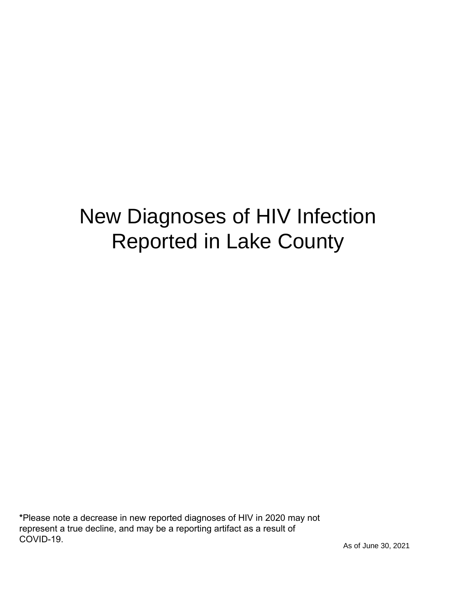# New Diagnoses of HIV Infection Reported in Lake County

\*Please note a decrease in new reported diagnoses of HIV in 2020 may not represent a true decline, and may be a reporting artifact as a result of COVID-19.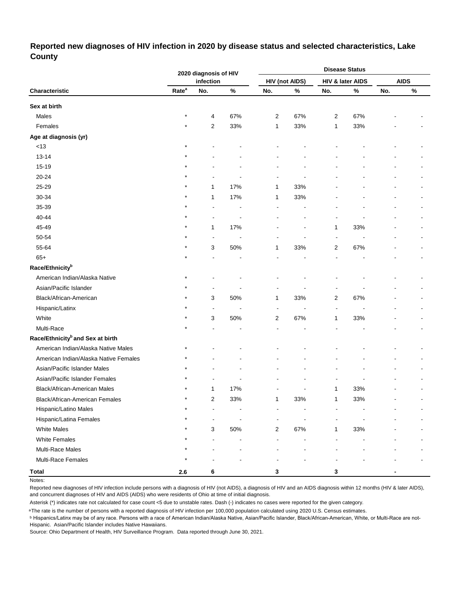## **Reported new diagnoses of HIV infection in 2020 by disease status and selected characteristics, Lake County**

|                                              |                   | 2020 diagnosis of HIV |      |                |                       |                | <b>Disease Status</b> |     |             |
|----------------------------------------------|-------------------|-----------------------|------|----------------|-----------------------|----------------|-----------------------|-----|-------------|
|                                              |                   | infection             |      |                | <b>HIV (not AIDS)</b> |                | HIV & later AIDS      |     | <b>AIDS</b> |
| Characteristic                               | Rate <sup>a</sup> | No.                   | $\%$ | No.            | $\%$                  | No.            | $\%$                  | No. | $\%$        |
| Sex at birth                                 |                   |                       |      |                |                       |                |                       |     |             |
| Males                                        | $\star$           | 4                     | 67%  | $\overline{2}$ | 67%                   | $\overline{2}$ | 67%                   |     |             |
| Females                                      |                   | 2                     | 33%  | 1              | 33%                   | $\mathbf{1}$   | 33%                   |     |             |
| Age at diagnosis (yr)                        |                   |                       |      |                |                       |                |                       |     |             |
| < 13                                         |                   |                       |      |                |                       |                |                       |     |             |
| $13 - 14$                                    |                   |                       |      |                |                       |                |                       |     |             |
| 15-19                                        |                   |                       |      |                |                       |                |                       |     |             |
| 20-24                                        |                   |                       |      |                |                       |                |                       |     |             |
| 25-29                                        |                   | 1                     | 17%  | 1              | 33%                   |                |                       |     |             |
| 30-34                                        |                   | 1                     | 17%  | 1              | 33%                   |                |                       |     |             |
| 35-39                                        |                   |                       |      |                |                       |                |                       |     |             |
| 40-44                                        |                   |                       |      |                |                       |                |                       |     |             |
| 45-49                                        | $\star$           | 1                     | 17%  |                |                       | 1              | 33%                   |     |             |
| 50-54                                        |                   | $\overline{a}$        |      |                |                       | $\blacksquare$ |                       |     |             |
| 55-64                                        |                   | 3                     | 50%  | 1              | 33%                   | 2              | 67%                   |     |             |
| $65+$                                        |                   |                       |      |                |                       |                |                       |     |             |
| Race/Ethnicity <sup>b</sup>                  |                   |                       |      |                |                       |                |                       |     |             |
| American Indian/Alaska Native                |                   |                       |      |                |                       |                |                       |     |             |
| Asian/Pacific Islander                       |                   |                       |      |                |                       |                |                       |     |             |
| Black/African-American                       |                   | 3                     | 50%  | 1              | 33%                   | $\overline{2}$ | 67%                   |     |             |
| Hispanic/Latinx                              |                   | $\blacksquare$        |      |                |                       | $\blacksquare$ |                       |     |             |
| White                                        | $\star$           | 3                     | 50%  | 2              | 67%                   | 1              | 33%                   |     |             |
| Multi-Race                                   |                   |                       |      |                |                       |                |                       |     |             |
| Race/Ethnicity <sup>b</sup> and Sex at birth |                   |                       |      |                |                       |                |                       |     |             |
| American Indian/Alaska Native Males          |                   |                       |      |                |                       |                |                       |     |             |
| American Indian/Alaska Native Females        |                   |                       |      |                |                       |                |                       |     |             |
| Asian/Pacific Islander Males                 |                   |                       |      |                |                       |                |                       |     |             |
| Asian/Pacific Islander Females               |                   |                       |      |                |                       |                |                       |     |             |
| Black/African-American Males                 |                   | 1                     | 17%  |                |                       | 1              | 33%                   |     |             |
| Black/African-American Females               | $^\star$          | $\overline{2}$        | 33%  | 1              | 33%                   | 1              | 33%                   |     |             |
| Hispanic/Latino Males                        |                   | L                     |      |                |                       |                |                       |     |             |
| Hispanic/Latina Females                      |                   | ÷                     |      |                | $\overline{a}$        |                |                       |     |             |
| <b>White Males</b>                           |                   | 3                     | 50%  | 2              | 67%                   | 1              | 33%                   |     |             |
| <b>White Females</b>                         |                   |                       |      |                |                       |                |                       |     |             |
| Multi-Race Males                             |                   |                       |      |                |                       |                |                       |     |             |
| Multi-Race Females                           |                   |                       |      |                |                       |                |                       |     |             |
| <b>Total</b>                                 | 2.6               | 6                     |      | 3              |                       | 3              |                       |     |             |

Notes:

Reported new diagnoses of HIV infection include persons with a diagnosis of HIV (not AIDS), a diagnosis of HIV and an AIDS diagnosis within 12 months (HIV & later AIDS), and concurrent diagnoses of HIV and AIDS (AIDS) who were residents of Ohio at time of initial diagnosis.

Asterisk (\*) indicates rate not calculated for case count <5 due to unstable rates. Dash (-) indicates no cases were reported for the given category.

a The rate is the number of persons with a reported diagnosis of HIV infection per 100,000 population calculated using 2020 U.S. Census estimates.

ᵇ Hispanics/Latinx may be of any race. Persons with a race of American Indian/Alaska Native, Asian/Pacific Islander, Black/African-American, White, or Multi-Race are not-Hispanic. Asian/Pacific Islander includes Native Hawaiians.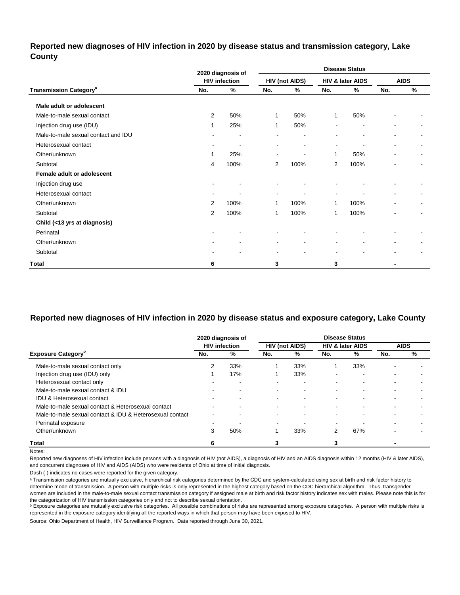### **Reported new diagnoses of HIV infection in 2020 by disease status and transmission category, Lake County**

|                                          |                          | 2020 diagnosis of    |              |                       |                          | <b>Disease Status</b>        |                |                |
|------------------------------------------|--------------------------|----------------------|--------------|-----------------------|--------------------------|------------------------------|----------------|----------------|
|                                          |                          | <b>HIV infection</b> |              | <b>HIV (not AIDS)</b> |                          | HIV & later AIDS             |                | <b>AIDS</b>    |
| <b>Transmission Category<sup>a</sup></b> | No.                      | %                    | No.          | %                     | No.                      | %                            | No.            | %              |
| Male adult or adolescent                 |                          |                      |              |                       |                          |                              |                |                |
| Male-to-male sexual contact              | 2                        | 50%                  | $\mathbf{1}$ | 50%                   | $\mathbf{1}$             | 50%                          |                |                |
| Injection drug use (IDU)                 | 1                        | 25%                  | $\mathbf{1}$ | 50%                   |                          |                              |                |                |
| Male-to-male sexual contact and IDU      |                          |                      |              |                       |                          | $\qquad \qquad \blacksquare$ |                |                |
| Heterosexual contact                     | $\sim$                   |                      | ٠            | $\blacksquare$        | $\blacksquare$           | $\overline{a}$               | $\overline{a}$ | $\blacksquare$ |
| Other/unknown                            | 1                        | 25%                  | $\sim$       | $\blacksquare$        | 1                        | 50%                          |                | $\sim$         |
| Subtotal                                 | 4                        | 100%                 | 2            | 100%                  | $\overline{2}$           | 100%                         |                |                |
| Female adult or adolescent               |                          |                      |              |                       |                          |                              |                |                |
| Injection drug use                       |                          |                      |              |                       |                          |                              |                |                |
| Heterosexual contact                     | $\overline{\phantom{a}}$ |                      | ٠            |                       | $\overline{\phantom{a}}$ |                              |                |                |
| Other/unknown                            | 2                        | 100%                 | 1            | 100%                  | 1                        | 100%                         |                | ۰              |
| Subtotal                                 | $\mathbf{2}$             | 100%                 | 1            | 100%                  | 1                        | 100%                         |                |                |
| Child (<13 yrs at diagnosis)             |                          |                      |              |                       |                          |                              |                |                |
| Perinatal                                |                          |                      |              |                       |                          |                              |                |                |
| Other/unknown                            |                          |                      | ۰            | $\blacksquare$        | $\blacksquare$           | $\blacksquare$               | $\blacksquare$ |                |
| Subtotal                                 | ۰                        |                      | ۰            |                       | $\overline{\phantom{a}}$ | ۰                            | $\blacksquare$ |                |
| <b>Total</b>                             | 6                        |                      | 3            |                       | 3                        |                              |                |                |

## **Reported new diagnoses of HIV infection in 2020 by disease status and exposure category, Lake County**

|                                                          |                          | 2020 diagnosis of        |                          |                          |                          | <b>Disease Status</b>       |     |             |
|----------------------------------------------------------|--------------------------|--------------------------|--------------------------|--------------------------|--------------------------|-----------------------------|-----|-------------|
|                                                          |                          | <b>HIV infection</b>     |                          | HIV (not AIDS)           |                          | <b>HIV &amp; later AIDS</b> |     | <b>AIDS</b> |
| <b>Exposure Category</b> <sup>P</sup>                    | No.                      | %                        | No.                      | %                        | No.                      | %                           | No. | %           |
| Male-to-male sexual contact only                         |                          | 33%                      |                          | 33%                      |                          | 33%                         |     |             |
| Injection drug use (IDU) only                            |                          | 17%                      |                          | 33%                      | $\overline{\phantom{a}}$ | -                           |     |             |
| Heterosexual contact only                                |                          | $\overline{\phantom{0}}$ | -                        | $\overline{\phantom{0}}$ | ۰                        | -                           | -   |             |
| Male-to-male sexual contact & IDU                        | $\overline{\phantom{0}}$ | ۰                        | ۰                        | ۰.                       | ۰                        |                             |     |             |
| <b>IDU &amp; Heterosexual contact</b>                    |                          | $\overline{\phantom{0}}$ | -                        | $\overline{\phantom{0}}$ |                          | -                           |     |             |
| Male-to-male sexual contact & Heterosexual contact       | $\overline{\phantom{0}}$ | $\overline{\phantom{0}}$ | $\sim$                   | $\,$ $\,$                | ۰                        |                             | -   |             |
| Male-to-male sexual contact & IDU & Heterosexual contact | $\overline{\phantom{0}}$ | ۰                        | $\overline{\phantom{0}}$ | ۰.                       | ۰                        | -                           | -   |             |
| Perinatal exposure                                       | $\blacksquare$           |                          | -                        | ۰                        | $\overline{\phantom{a}}$ |                             | -   |             |
| Other/unknown                                            | 3                        | 50%                      |                          | 33%                      | 2                        | 67%                         |     |             |
| <b>Total</b>                                             | 6                        |                          |                          |                          |                          |                             |     |             |

Notes:

Reported new diagnoses of HIV infection include persons with a diagnosis of HIV (not AIDS), a diagnosis of HIV and an AIDS diagnosis within 12 months (HIV & later AIDS), and concurrent diagnoses of HIV and AIDS (AIDS) who were residents of Ohio at time of initial diagnosis.

Dash (-) indicates no cases were reported for the given category.

a Transmission categories are mutually exclusive, hierarchical risk categories determined by the CDC and system-calculated using sex at birth and risk factor history to determine mode of transmission. A person with multiple risks is only represented in the highest category based on the CDC hierarchical algorithm. Thus, transgender women are included in the male-to-male sexual contact transmission category if assigned male at birth and risk factor history indicates sex with males. Please note this is for the categorization of HIV transmission categories only and not to describe sexual orientation.

**b** Exposure categories are mutually exclusive risk categories. All possible combinations of risks are represented among exposure categories. A person with multiple risks is represented in the exposure category identifying all the reported ways in which that person may have been exposed to HIV.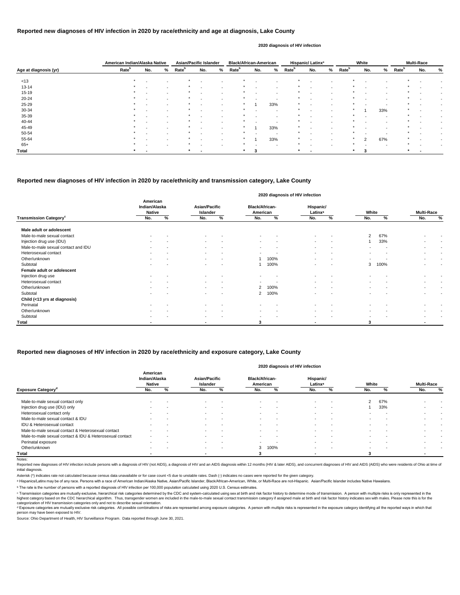Reported new diagnoses of HIV infection include persons with a diagnosis of HIV (not AIDS), a diagnosis of HIV and an AIDS diagnosis within 12 months (HIV & later AIDS), and concurrent diagnoses of HIV and AIDS (AIDS) who initial diagnosis.

© Transmission categories are mutually exclusive, hierarchical risk categories determined by the CDC and system-calculated using sex at birth and risk factor history to determine mode of transmission. A person with multip highest category based on the CDC hierarchical algorithm. Thus, transgender women are included in the male-to-male sexual contact transmission category if assigned male at birth and risk factor history indicates sex with m categorization of HIV transmission categories only and not to describe sexual orientation.

<sup>d</sup> Exposure categories are mutually exclusive risk categories. All possible combinations of risks are represented among exposure categories. A person with multiple risks is represented in the exposure category identifying person may have been exposed to HIV.

Notes:

Source: Ohio Department of Health, HIV Surveillance Program. Data reported through June 30, 2021.

|                       | American Indian/Alaska Native |     |                          | <b>Asian/Pacific Islander</b> |        |                          | <b>Black/African-American</b> |                          |                          |                   | Hispanic/Latinx <sup>a</sup> |        |                   | White |                          |                   | <b>Multi-Race</b>        |      |
|-----------------------|-------------------------------|-----|--------------------------|-------------------------------|--------|--------------------------|-------------------------------|--------------------------|--------------------------|-------------------|------------------------------|--------|-------------------|-------|--------------------------|-------------------|--------------------------|------|
| Age at diagnosis (yr) | Rate <sup>b</sup>             | No. | %                        | Rate <sup>b</sup>             | No.    | %                        | <b>Rate</b> <sup>b</sup>      | No.                      | %                        | Rate <sup>b</sup> | No.                          | %      | Rate <sup>b</sup> | No.   | %                        | Rate <sup>b</sup> | No.                      | %    |
| < 13                  | $\star$                       |     |                          |                               |        |                          |                               |                          |                          |                   |                              |        |                   |       |                          |                   |                          |      |
|                       | $\star$                       |     | $\overline{\phantom{0}}$ |                               |        |                          |                               | $\overline{\phantom{0}}$ | $\blacksquare$           |                   | $\overline{\phantom{a}}$     |        |                   |       |                          |                   |                          |      |
| $13 - 14$             |                               |     | $\overline{\phantom{a}}$ |                               |        |                          |                               | $\sim$                   | $\sim$                   |                   | $\overline{\phantom{a}}$     |        |                   |       | $\sim$                   |                   | $\,$ $\,$                | $\,$ |
| $15 - 19$             | $\star$                       |     | $\sim$                   | $\star$                       |        | $\sim$                   | $\star$                       | $\sim$                   | $\sim$                   |                   | $\sim$                       |        | $\star$           |       | $\overline{a}$           | $\star$           | $\sim$                   |      |
| $20 - 24$             | $\star$                       |     | $\blacksquare$           |                               |        |                          |                               |                          | $\overline{\phantom{0}}$ |                   | $\overline{\phantom{0}}$     |        |                   |       |                          |                   |                          |      |
| 25-29                 | $\star$                       |     |                          |                               | $\sim$ |                          |                               |                          | 33%                      |                   | $\sim$                       |        |                   |       |                          |                   |                          |      |
| 30-34                 | $\star$                       |     | $\blacksquare$           |                               |        | $\overline{\phantom{0}}$ |                               | $\sim$                   | $\sim$                   |                   | $\blacksquare$               |        |                   |       | 33%                      | $\ast$            |                          |      |
| 35-39                 | $\star$                       |     | $\overline{\phantom{0}}$ | $\star$                       |        |                          | $\star$                       | $\overline{\phantom{a}}$ | $\blacksquare$           |                   | $\blacksquare$               |        | $\star$           |       | $\sim$                   | $\star$           |                          |      |
| 40-44                 | $\star$                       |     |                          |                               |        |                          |                               | $\overline{\phantom{0}}$ | $\overline{\phantom{0}}$ |                   | $\blacksquare$               |        |                   |       |                          |                   |                          |      |
| 45-49                 | $\star$                       |     | $\overline{\phantom{0}}$ |                               |        |                          |                               |                          | 33%                      |                   | $\blacksquare$               |        |                   |       | $\overline{\phantom{0}}$ |                   |                          |      |
| 50-54                 | $\star$                       |     | $\blacksquare$           | $\star$                       |        |                          | $\star$                       | $\sim$                   | $\sim$                   |                   | $\sim$                       | $\sim$ | $\star$           |       | $\sim$                   | $\star$           | $\,$ $\,$                |      |
| 55-64                 | $\star$                       |     | $\overline{\phantom{0}}$ |                               |        |                          |                               |                          | 33%                      |                   | $\blacksquare$               |        |                   | 2     | 67%                      |                   |                          |      |
| $65+$                 | $\star$                       |     | $\overline{\phantom{0}}$ |                               |        |                          | $\star$                       | $\overline{\phantom{0}}$ | $\overline{\phantom{a}}$ |                   | $\blacksquare$               |        | $\star$           |       | $\overline{\phantom{a}}$ |                   | $\overline{\phantom{a}}$ |      |
| Total                 | $\star$                       |     |                          | *                             |        |                          | $\star$                       | 3                        |                          | $\star$           |                              |        | $\star$           | 3     |                          | $\ast$            |                          |      |

#### **Reported new diagnoses of HIV infection in 2020 by race/ethnicity and exposure category, Lake County**

|                                     |                                            |                 |                                  |                          |                                   |                      | 2020 diagnosis of HIV infection  |                          |        |                          |                          |                          |
|-------------------------------------|--------------------------------------------|-----------------|----------------------------------|--------------------------|-----------------------------------|----------------------|----------------------------------|--------------------------|--------|--------------------------|--------------------------|--------------------------|
|                                     | American<br>Indian/Alaska<br><b>Native</b> |                 | <b>Asian/Pacific</b><br>Islander |                          | <b>Black/African-</b><br>American |                      | Hispanic/<br>Latinx <sup>a</sup> |                          | White  |                          | <b>Multi-Race</b>        |                          |
| Transmission Category <sup>c</sup>  | No.                                        | %               | No.                              | %                        | No.                               | $\frac{1}{\sqrt{2}}$ | No.                              | %                        | No.    | %                        | No.                      | $\overline{\mathcal{C}}$ |
| Male adult or adolescent            |                                            |                 |                                  |                          |                                   |                      |                                  |                          |        |                          |                          |                          |
| Male-to-male sexual contact         | $\overline{\phantom{a}}$                   |                 |                                  |                          | $\overline{\phantom{a}}$          |                      | $\sim$                           |                          | 2      | 67%                      |                          |                          |
| Injection drug use (IDU)            | $\,$                                       |                 |                                  |                          |                                   |                      |                                  |                          |        | 33%                      |                          |                          |
| Male-to-male sexual contact and IDU | $\blacksquare$                             |                 | $\sim$                           | $\blacksquare$           | $\sim$                            |                      | $\sim$                           | $\overline{\phantom{a}}$ |        |                          | $\,$                     |                          |
| Heterosexual contact                | $\blacksquare$                             | $\qquad \qquad$ | $\sim$                           | $\overline{\phantom{a}}$ | $\overline{\phantom{a}}$          |                      | $\sim$                           | $\overline{\phantom{a}}$ |        |                          | $\sim$                   | $\,$ $\,$                |
| Other/unknown                       | $\,$                                       |                 | $\sim$                           | $\overline{\phantom{a}}$ |                                   | 100%                 |                                  | $\overline{\phantom{a}}$ | $\sim$ |                          | $\blacksquare$           |                          |
| Subtotal                            | $\,$                                       |                 |                                  | $\overline{\phantom{a}}$ |                                   | 100%                 |                                  |                          | 3      | 100%                     |                          |                          |
| Female adult or adolescent          |                                            |                 |                                  |                          |                                   |                      |                                  |                          |        |                          |                          |                          |
| Injection drug use                  | $\blacksquare$                             |                 | $\sim$                           | $\overline{\phantom{a}}$ | $\overline{\phantom{a}}$          |                      | $\sim$                           | $\overline{\phantom{a}}$ |        |                          |                          |                          |
| Heterosexual contact                | $\blacksquare$                             | $\sim$          | $\sim$                           | $\overline{\phantom{a}}$ | $\overline{\phantom{a}}$          |                      | $\sim$                           | $\overline{\phantom{a}}$ |        |                          | $\blacksquare$           |                          |
| Other/unknown                       | $\,$                                       |                 |                                  |                          | 2                                 | 100%                 |                                  |                          |        |                          | $\blacksquare$           | $\overline{\phantom{a}}$ |
| Subtotal                            | $\blacksquare$                             |                 | $\sim$                           | $\overline{\phantom{a}}$ | 2                                 | 100%                 | $\sim$                           |                          |        | $\overline{\phantom{0}}$ | $\blacksquare$           |                          |
| Child (<13 yrs at diagnosis)        |                                            |                 |                                  |                          |                                   |                      |                                  |                          |        |                          |                          |                          |
| Perinatal                           |                                            |                 |                                  |                          |                                   |                      |                                  |                          |        |                          |                          |                          |
| Other/unknown                       | $\blacksquare$                             |                 | $\sim$                           | $\overline{\phantom{a}}$ | $\sim$                            |                      | $\sim$                           |                          |        |                          | $\overline{\phantom{a}}$ |                          |
| Subtotal                            | $\blacksquare$                             |                 | $\sim$                           |                          | $\sim$                            |                      | $\sim$                           |                          |        |                          |                          |                          |
| Total                               |                                            |                 |                                  |                          | 3                                 |                      |                                  |                          | 3      |                          | $\blacksquare$           |                          |

|                                                          | American<br>Indian/Alaska<br><b>Native</b> |                          | Asian/Pacific<br>Islander |                          | <b>Black/African-</b><br>American |                          | Hispanic/<br>Latinx <sup>a</sup> |                          | White  |        | <b>Multi-Race</b> |   |
|----------------------------------------------------------|--------------------------------------------|--------------------------|---------------------------|--------------------------|-----------------------------------|--------------------------|----------------------------------|--------------------------|--------|--------|-------------------|---|
| <b>Exposure Category</b> <sup>o</sup>                    | No.                                        | %                        | No.                       | %                        | No.                               | %                        | No.                              | %                        | No.    | %      | No.               | % |
| Male-to-male sexual contact only                         |                                            |                          | $\sim$                    |                          | $\sim$                            | . .                      | $\sim$                           | -                        | 2      | 67%    |                   |   |
| Injection drug use (IDU) only                            |                                            |                          | $\sim$                    |                          | $\sim$                            | $\overline{\phantom{a}}$ | $\sim$                           | -                        |        | 33%    |                   |   |
| Heterosexual contact only                                |                                            | $\overline{\phantom{a}}$ | $\sim$                    | . .                      | $\sim$                            | $\overline{\phantom{a}}$ | $\sim$                           | -                        |        | . .    |                   |   |
| Male-to-male sexual contact & IDU                        |                                            |                          | -                         |                          |                                   |                          | $\sim$                           |                          |        |        |                   |   |
| IDU & Heterosexual contact                               |                                            |                          | $\overline{\phantom{a}}$  |                          |                                   | -                        | $\sim$                           |                          |        |        |                   |   |
| Male-to-male sexual contact & Heterosexual contact       |                                            |                          |                           |                          |                                   |                          | $\sim$                           |                          |        |        |                   |   |
| Male-to-male sexual contact & IDU & Heterosexual contact |                                            |                          |                           |                          |                                   |                          | $\sim$                           |                          |        |        |                   |   |
| Perinatal exposure                                       | $\sim$                                     | $\overline{\phantom{a}}$ | $\sim$                    | $\overline{\phantom{a}}$ | $\sim$                            | $\sim$                   | $\sim$                           | $\overline{\phantom{a}}$ | $\sim$ | $\sim$ |                   |   |
| Other/unknown                                            | $\sim$                                     | $\overline{\phantom{a}}$ | $\sim$                    | . .                      |                                   | 3 100%                   | $\sim$                           | $\overline{\phantom{a}}$ |        | . .    |                   |   |
| Total                                                    |                                            |                          | -                         |                          |                                   |                          | $\blacksquare$                   |                          |        |        |                   |   |

#### **2020 diagnosis of HIV infection**

Asterisk (\*) indicates rate not calculated because census data unavailable or for case count <5 due to unstable rates. Dash (-) indicates no cases were reported for the given category.

a Hispanics/Latinx may be of any race. Persons with a race of American Indian/Alaska Native, Asian/Pacific Islander, Black/African-American, White, or Multi-Race are not-Hispanic. Asian/Pacific Islander includes Native Haw

<sup>b</sup> The rate is the number of persons with a reported diagnosis of HIV infection per 100,000 population calculated using 2020 U.S. Census estimates.

#### **Reported new diagnoses of HIV infection in 2020 by race/ethnicity and transmission category, Lake County**

#### **Reported new diagnoses of HIV infection in 2020 by race/ethnicity and age at diagnosis, Lake County**

#### **2020 diagnosis of HIV infection**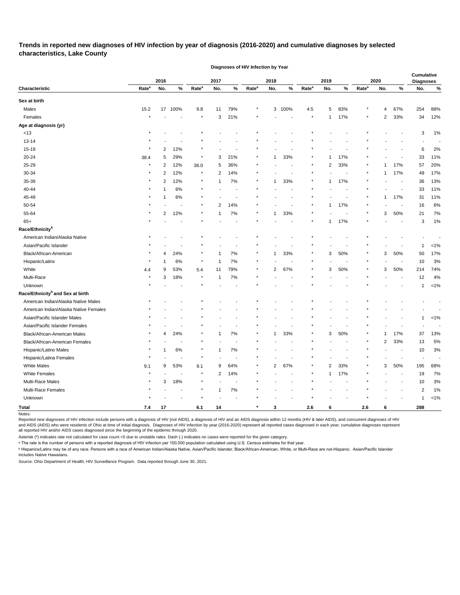**Trends in reported new diagnoses of HIV infection by year of diagnosis (2016-2020) and cumulative diagnoses by selected characteristics, Lake County** 

**Diagnoses of HIV Infection by Year**

|                                              |                   | 2016 |       |                   | 2017           |       |                   | 2018                    |      |                   | 2019           |      |                   | 2020                    |                          | <b>Cumulative</b><br><b>Diagnoses</b> |         |
|----------------------------------------------|-------------------|------|-------|-------------------|----------------|-------|-------------------|-------------------------|------|-------------------|----------------|------|-------------------|-------------------------|--------------------------|---------------------------------------|---------|
| Characteristic                               | Rate <sup>a</sup> | No.  | $\%$  | Rate <sup>a</sup> | No.            | %     | Rate <sup>a</sup> | No.                     | $\%$ | Rate <sup>a</sup> | No.            | $\%$ | Rate <sup>a</sup> | No.                     | %                        | No.                                   | $\%$    |
| Sex at birth                                 |                   |      |       |                   |                |       |                   |                         |      |                   |                |      |                   |                         |                          |                                       |         |
| Males                                        | 15.2              | 17   | 100%  | 9.8               | 11             | 79%   | $\ast$            | 3                       | 100% | $4.5\,$           | 5              | 83%  |                   | 4                       | 67%                      | 254                                   | 88%     |
| Females                                      |                   |      |       | $\star$           | 3              | 21%   |                   |                         |      |                   | $\mathbf{1}$   | 17%  |                   | $\overline{2}$          | 33%                      | 34                                    | 12%     |
| Age at diagnosis (yr)                        |                   |      |       |                   |                |       |                   |                         |      |                   |                |      |                   |                         |                          |                                       |         |
| $<13$                                        |                   |      |       |                   |                |       |                   |                         |      |                   |                |      |                   |                         |                          | 3                                     | 1%      |
| $13 - 14$                                    |                   |      |       |                   |                |       |                   |                         |      |                   |                |      |                   |                         |                          |                                       |         |
| $15-19$                                      |                   | 2    | 12%   |                   |                |       |                   |                         |      |                   |                |      |                   |                         |                          | 6                                     | 2%      |
| 20-24                                        | 38.4              | 5    | 29%   |                   | 3              | 21%   |                   |                         | 33%  |                   |                | 17%  |                   |                         |                          | 33                                    | 11%     |
| 25-29                                        |                   | 2    | 12%   | 36.0              | 5              | 36%   |                   |                         |      |                   | $\overline{2}$ | 33%  |                   |                         | 17%                      | 57                                    | 20%     |
| 30-34                                        |                   | 2    | 12%   | $\star$           | 2              | 14%   |                   |                         |      |                   |                |      |                   |                         | 17%                      | 49                                    | 17%     |
| 35-39                                        |                   | 2    | 12%   | $\ast$            |                | $7\%$ |                   |                         | 33%  |                   |                | 17%  |                   |                         |                          | 36                                    | 13%     |
| 40-44                                        |                   |      | 6%    |                   |                |       |                   |                         |      |                   |                |      |                   |                         |                          | 33                                    | 11%     |
| 45-49                                        |                   |      | 6%    |                   |                |       |                   |                         |      |                   |                |      |                   | 1                       | 17%                      | 31                                    | 11%     |
| 50-54                                        |                   |      |       |                   | 2              | 14%   |                   |                         |      |                   | 1              | 17%  |                   |                         |                          | 16                                    | 6%      |
| 55-64                                        |                   | 2    | 12%   |                   |                | $7\%$ |                   |                         | 33%  |                   |                |      |                   | 3                       | 50%                      | 21                                    | 7%      |
| $65+$                                        |                   |      |       |                   |                |       |                   |                         |      |                   | 1              | 17%  |                   |                         | $\overline{\phantom{a}}$ | 3                                     | 1%      |
| Race/Ethnicity <sup>b</sup>                  |                   |      |       |                   |                |       |                   |                         |      |                   |                |      |                   |                         |                          |                                       |         |
| American Indian/Alaska Native                |                   |      |       |                   |                |       |                   |                         |      |                   |                |      |                   |                         |                          |                                       |         |
| Asian/Pacific Islander                       |                   |      |       |                   |                |       |                   |                         |      |                   |                |      |                   |                         |                          | 1                                     | $< 1\%$ |
| Black/African-American                       |                   | 4    | 24%   |                   |                | 7%    |                   |                         | 33%  |                   | 3              | 50%  |                   | 3                       | 50%                      | 50                                    | 17%     |
| Hispanic/Latinx                              |                   |      | 6%    |                   |                | 7%    |                   |                         |      |                   |                |      |                   |                         |                          | 10                                    | 3%      |
| White                                        | 4.4               | 9    | 53%   | 5.4               | 11             | 79%   |                   | 2                       | 67%  |                   | 3              | 50%  |                   | 3                       | 50%                      | 214                                   | 74%     |
| Multi-Race                                   |                   | 3    | 18%   | $\ast$            | -1             | 7%    |                   |                         |      |                   |                |      |                   |                         |                          | 12                                    | 4%      |
| Unknown                                      |                   |      |       |                   |                |       |                   |                         |      |                   |                |      |                   |                         |                          | 1                                     | $< 1\%$ |
| Race/Ethnicity <sup>b</sup> and Sex at birth |                   |      |       |                   |                |       |                   |                         |      |                   |                |      |                   |                         |                          |                                       |         |
| American Indian/Alaska Native Males          |                   |      |       |                   |                |       |                   |                         |      |                   |                |      |                   |                         |                          |                                       |         |
| American Indian/Alaska Native Females        |                   |      |       |                   |                |       |                   |                         |      |                   |                |      |                   |                         |                          |                                       |         |
| Asian/Pacific Islander Males                 |                   |      |       |                   |                |       |                   |                         |      |                   |                |      |                   |                         |                          | 1                                     | $< 1\%$ |
| Asian/Pacific Islander Females               |                   |      |       |                   |                |       |                   |                         |      |                   |                |      |                   |                         |                          |                                       |         |
| Black/African-American Males                 |                   |      | 24%   |                   |                | 7%    |                   |                         | 33%  |                   | 3              | 50%  |                   |                         | 17%                      | 37                                    | 13%     |
| Black/African-American Females               |                   |      |       |                   |                |       |                   |                         |      |                   |                |      |                   | $\overline{\mathbf{c}}$ | 33%                      | 13                                    | 5%      |
| Hispanic/Latino Males                        |                   |      | $6\%$ |                   | 1              | $7\%$ |                   |                         |      |                   |                |      |                   |                         |                          | 10                                    | 3%      |
| Hispanic/Latina Females                      |                   |      |       |                   |                |       |                   |                         |      |                   |                |      |                   |                         |                          | $\overline{\phantom{a}}$              |         |
| <b>White Males</b>                           | 9.1               | 9    | 53%   | 9.1               | 9              | 64%   |                   | $\overline{\mathbf{c}}$ | 67%  |                   | $\overline{2}$ | 33%  |                   | 3                       | 50%                      | 195                                   | 68%     |
| White Females                                |                   |      |       | $\star$           | $\overline{2}$ | 14%   |                   |                         |      |                   | $\mathbf{1}$   | 17%  |                   |                         | $\sim$                   | 19                                    | 7%      |
| Multi-Race Males                             |                   | 3    | 18%   |                   |                |       |                   |                         |      |                   |                |      |                   |                         |                          | 10                                    | 3%      |
| Multi-Race Females                           |                   |      |       |                   | 1              | $7\%$ |                   |                         |      |                   |                |      |                   |                         |                          | $\overline{2}$                        | 1%      |
| Unknown                                      |                   |      |       |                   |                |       |                   |                         |      |                   |                |      |                   |                         |                          | 1                                     | $< 1\%$ |
| Total                                        | 7.4               | 17   |       | 6.1               | 14             |       | $\star$           | 3                       |      | $2.6\,$           | 6              |      | $2.6\,$           | 6                       |                          | 288                                   |         |

Notes:

Reported new diagnoses of HIV infection include persons with a diagnosis of HIV (not AIDS), a diagnosis of HIV and an AIDS diagnosis within 12 months (HIV & later AIDS), and concurrent diagnoses of HIV

and AIDS (AIDS) who were residents of Ohio at time of initial diagnosis. Diagnoses of HIV infection by year (2016-2020) represent all reported cases diagnosed in each year; cumulative diagnoses represent all reported HIV and/or AIDS cases diagnosed since the beginning of the epidemic through 2020.

Asterisk (\*) indicates rate not calculated for case count <5 due to unstable rates. Dash (-) indicates no cases were reported for the given category.

a The rate is the number of persons with a reported diagnosis of HIV infection per 100,000 population calculated using U.S. Census estimates for that year.

**b Hispanics/Latinx may be of any race. Persons with a race of American Indian/Alaska Native, Asian/Pacific Islander, Black/African-American, White, or Multi-Race are not-Hispanic. Asian/Pacific Islander** 

includes Native Hawaiians.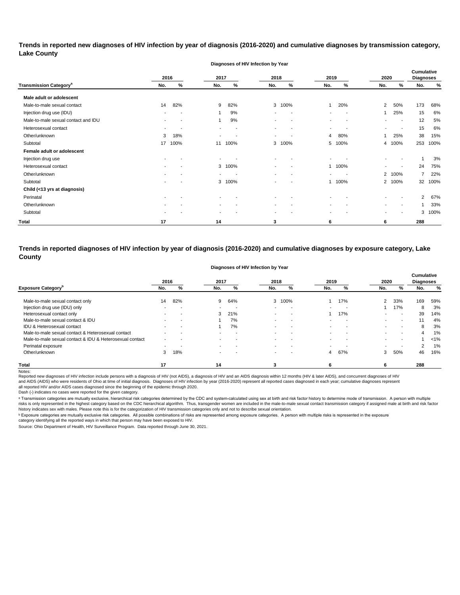**Trends in reported new diagnoses of HIV infection by year of diagnosis (2016-2020) and cumulative diagnoses by transmission category, Lake County**

|                                          |      |      |                          | Diagnoses of HIV Infection by Year |                          |                          |                          |                          |                |                          |                                       |      |
|------------------------------------------|------|------|--------------------------|------------------------------------|--------------------------|--------------------------|--------------------------|--------------------------|----------------|--------------------------|---------------------------------------|------|
|                                          | 2016 |      | 2017                     |                                    | 2018                     |                          | 2019                     |                          | 2020           |                          | <b>Cumulative</b><br><b>Diagnoses</b> |      |
| <b>Transmission Category<sup>a</sup></b> | No.  | %    | No.                      | %                                  | No.                      | %                        | No.                      | %                        | No.            | %                        | No.                                   | %    |
| Male adult or adolescent                 |      |      |                          |                                    |                          |                          |                          |                          |                |                          |                                       |      |
| Male-to-male sexual contact              | 14   | 82%  | 9                        | 82%                                | 3                        | 100%                     | $\mathbf{1}$             | 20%                      | $\overline{2}$ | 50%                      | 173                                   | 68%  |
| Injection drug use (IDU)                 |      |      |                          | 9%                                 | $\overline{\phantom{0}}$ | $\overline{\phantom{a}}$ |                          | $\overline{\phantom{a}}$ |                | 25%                      | 15                                    | 6%   |
| Male-to-male sexual contact and IDU      |      |      |                          | 9%                                 | $\overline{\phantom{a}}$ | $\overline{\phantom{a}}$ | $\overline{\phantom{a}}$ | $\overline{\phantom{a}}$ |                | $\sim$                   | 12                                    | 5%   |
| Heterosexual contact                     |      |      | $\overline{\phantom{a}}$ | $\overline{\phantom{a}}$           | $\overline{\phantom{a}}$ | $\overline{\phantom{a}}$ |                          |                          |                | $\overline{\phantom{a}}$ | 15                                    | 6%   |
| Other/unknown                            | 3    | 18%  | $\overline{\phantom{a}}$ |                                    | $\blacksquare$           |                          | 4                        | 80%                      | 1              | 25%                      | 38                                    | 15%  |
| Subtotal                                 | 17   | 100% | 11                       | 100%                               | 3                        | 100%                     |                          | 5 100%                   |                | 4 100%                   | 253                                   | 100% |
| Female adult or adolescent               |      |      |                          |                                    |                          |                          |                          |                          |                |                          |                                       |      |
| Injection drug use                       |      |      |                          |                                    |                          |                          |                          |                          |                |                          |                                       | 3%   |
| Heterosexual contact                     |      |      | 3                        | 100%                               |                          |                          |                          | 1 100%                   |                | $\overline{\phantom{a}}$ | 24                                    | 75%  |
| Other/unknown                            |      |      | $\overline{\phantom{a}}$ | $\overline{\phantom{a}}$           | $\overline{\phantom{a}}$ | $\overline{\phantom{a}}$ | $\blacksquare$           | $\overline{\phantom{a}}$ |                | 2 100%                   | 7                                     | 22%  |
| Subtotal                                 |      |      | 3                        | 100%                               |                          |                          |                          | 1 100%                   |                | 2 100%                   | 32                                    | 100% |
| Child (<13 yrs at diagnosis)             |      |      |                          |                                    |                          |                          |                          |                          |                |                          |                                       |      |
| Perinatal                                |      |      |                          |                                    |                          |                          |                          |                          |                |                          | $\overline{2}$                        | 67%  |
| Other/unknown                            |      |      |                          |                                    |                          |                          |                          |                          |                | $\overline{\phantom{a}}$ |                                       | 33%  |
| Subtotal                                 |      |      | $\overline{\phantom{a}}$ |                                    | $\blacksquare$           |                          |                          |                          |                | $\overline{\phantom{a}}$ | 3                                     | 100% |
| <b>Total</b>                             | 17   |      | 14                       |                                    | 3                        |                          | 6                        |                          | 6              |                          | 288                                   |      |

**Trends in reported diagnoses of HIV infection by year of diagnosis (2016-2020) and cumulative diagnoses by exposure category, Lake County**

| Diagnoses of HIV Infection by Year |  |  |  |  |
|------------------------------------|--|--|--|--|
|------------------------------------|--|--|--|--|

|                                                          | 2016 |     | 2017                     |                          | 2018                     |                          | 2019                     |                          | 2020   |                          | <b>Cumulative</b><br><b>Diagnoses</b> |         |
|----------------------------------------------------------|------|-----|--------------------------|--------------------------|--------------------------|--------------------------|--------------------------|--------------------------|--------|--------------------------|---------------------------------------|---------|
| <b>Exposure Category</b> <sup>p</sup>                    | No.  | %   | No.                      | %                        | No.                      | ℅                        | No.                      | %                        | No.    | %                        | No.                                   | %       |
| Male-to-male sexual contact only                         | 14   | 82% | 9                        | 64%                      | 3                        | 100%                     |                          | 17%                      | 2      | 33%                      | 169                                   | 59%     |
| Injection drug use (IDU) only                            |      |     |                          | $\overline{\phantom{a}}$ | $\overline{\phantom{0}}$ | $\overline{\phantom{a}}$ | $\blacksquare$           | $\overline{\phantom{a}}$ |        | 17%                      | 8                                     | 3%      |
| Heterosexual contact only                                |      |     | 3                        | 21%                      | $\sim$                   | . .                      |                          | 17%                      |        | $\overline{\phantom{0}}$ | 39                                    | 14%     |
| Male-to-male sexual contact & IDU                        |      |     |                          | 7%                       | $\sim$                   | $\sim$                   | $\blacksquare$           | $\overline{\phantom{a}}$ | $\sim$ | $\sim$                   | 11                                    | 4%      |
| IDU & Heterosexual contact                               |      |     |                          | 7%                       | $\overline{\phantom{a}}$ | . .                      | $\blacksquare$           | $\overline{\phantom{a}}$ |        | $\overline{\phantom{0}}$ | 8                                     | 3%      |
| Male-to-male sexual contact & Heterosexual contact       |      |     | $\sim$                   | $\overline{\phantom{a}}$ | $\blacksquare$           | $\sim$                   | $\overline{\phantom{0}}$ | $\overline{\phantom{a}}$ | $\sim$ | $\sim$                   | 4                                     | 1%      |
| Male-to-male sexual contact & IDU & Heterosexual contact |      |     | $\sim$                   | $\overline{\phantom{a}}$ | $\blacksquare$           | . .                      | $\overline{\phantom{0}}$ | $\overline{\phantom{a}}$ |        | $\overline{\phantom{0}}$ |                                       | $< 1\%$ |
| Perinatal exposure                                       | ۰.   |     | $\overline{\phantom{a}}$ |                          | $\overline{\phantom{a}}$ |                          | $\overline{\phantom{0}}$ |                          | $\sim$ | $\overline{\phantom{a}}$ | $\overline{2}$                        | 1%      |
| Other/unknown                                            |      | 18% | $\blacksquare$           |                          | $\blacksquare$           |                          | 4                        | 67%                      | 3      | 50%                      | 46                                    | 16%     |
| <b>Total</b>                                             | 17   |     | 14                       |                          |                          |                          | 6                        |                          | 6      |                          | 288                                   |         |

Notes:<br>Reported new diagnoses of HIV infection include persons with a diagnosis of HIV (not AIDS), a diagnosis of HIV and an AIDS diagnosis within 12 months (HIV & later AIDS), and concurrent diagnoses of HIV and AIDS (AIDS) who were residents of Ohio at time of initial diagnosis. Diagnoses of HIV infection by year (2016-2020) represent all reported cases diagnosed in each year; cumulative diagnoses represent all reported HIV and/or AIDS cases diagnosed since the beginning of the epidemic through 2020.

Dash (-) indicates no cases were reported for the given category.

a Transmission categories are mutually exclusive, hierarchical risk categories determined by the CDC and system-calculated using sex at birth and risk factor history to determine mode of transmission. A person with multipl risks is only represented in the highest category based on the CDC hierarchical algorithm. Thus, transgender women are included in the male-to-male sexual contact transmission category if assigned male at birth and risk fa history indicates sex with males. Please note this is for the categorization of HIV transmission categories only and not to describe sexual orientation.

**b Exposure categories are mutually exclusive risk categories.** All possible combinations of risks are represented among exposure categories. A person with multiple risks is represented in the exposure

category identifying all the reported ways in which that person may have been exposed to HIV.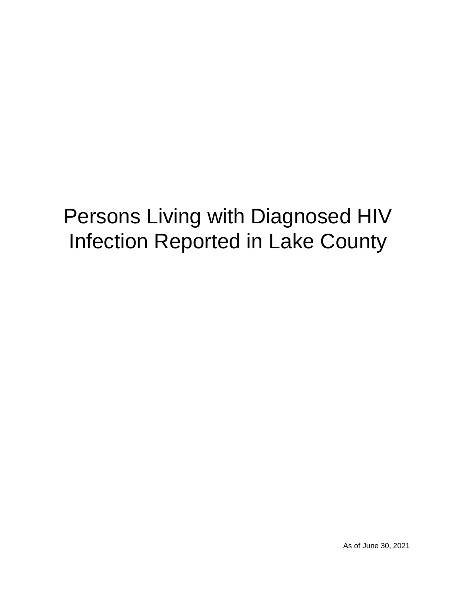# Persons Living with Diagnosed HIV Infection Reported in Lake County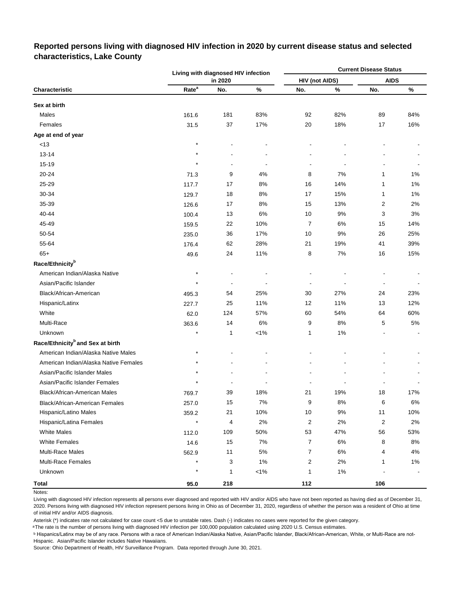## **Reported persons living with diagnosed HIV infection in 2020 by current disease status and selected characteristics, Lake County**

|                                              |                   | Living with diagnosed HIV infection |         |                          |       | <b>Current Disease Status</b> |       |
|----------------------------------------------|-------------------|-------------------------------------|---------|--------------------------|-------|-------------------------------|-------|
|                                              |                   | in 2020                             |         | <b>HIV (not AIDS)</b>    |       | <b>AIDS</b>                   |       |
| Characteristic                               | Rate <sup>a</sup> | No.                                 | $\%$    | No.                      | $\%$  | No.                           | $\%$  |
| Sex at birth                                 |                   |                                     |         |                          |       |                               |       |
| Males                                        | 161.6             | 181                                 | 83%     | 92                       | 82%   | 89                            | 84%   |
| Females                                      | 31.5              | 37                                  | 17%     | 20                       | 18%   | 17                            | 16%   |
| Age at end of year                           |                   |                                     |         |                          |       |                               |       |
| <13                                          | $\star$           |                                     |         |                          |       |                               |       |
| $13 - 14$                                    | $\star$           |                                     |         |                          |       |                               |       |
| $15 - 19$                                    | $\star$           |                                     |         |                          | Ĭ.    |                               |       |
| 20-24                                        | 71.3              | 9                                   | 4%      | 8                        | 7%    | 1                             | $1\%$ |
| 25-29                                        | 117.7             | 17                                  | 8%      | 16                       | 14%   | 1                             | $1\%$ |
| 30-34                                        | 129.7             | 18                                  | 8%      | 17                       | 15%   | $\mathbf{1}$                  | 1%    |
| 35-39                                        | 126.6             | 17                                  | 8%      | 15                       | 13%   | 2                             | 2%    |
| 40-44                                        | 100.4             | 13                                  | 6%      | 10                       | 9%    | 3                             | 3%    |
| 45-49                                        | 159.5             | 22                                  | 10%     | $\overline{7}$           | 6%    | 15                            | 14%   |
| 50-54                                        | 235.0             | 36                                  | 17%     | 10                       | 9%    | 26                            | 25%   |
| 55-64                                        | 176.4             | 62                                  | 28%     | 21                       | 19%   | 41                            | 39%   |
| $65+$                                        | 49.6              | 24                                  | 11%     | 8                        | 7%    | 16                            | 15%   |
| Race/Ethnicity <sup>b</sup>                  |                   |                                     |         |                          |       |                               |       |
| American Indian/Alaska Native                | $\star$           |                                     |         |                          |       |                               |       |
| Asian/Pacific Islander                       | $\star$           | $\overline{\phantom{a}}$            |         | $\overline{\phantom{a}}$ |       |                               |       |
| Black/African-American                       | 495.3             | 54                                  | 25%     | 30                       | 27%   | 24                            | 23%   |
| Hispanic/Latinx                              | 227.7             | 25                                  | 11%     | 12                       | 11%   | 13                            | 12%   |
| White                                        | 62.0              | 124                                 | 57%     | 60                       | 54%   | 64                            | 60%   |
| Multi-Race                                   | 363.6             | 14                                  | 6%      | 9                        | 8%    | 5                             | $5\%$ |
| Unknown                                      | $\star$           | 1                                   | $< 1\%$ | 1                        | 1%    |                               |       |
| Race/Ethnicity <sup>b</sup> and Sex at birth |                   |                                     |         |                          |       |                               |       |
| American Indian/Alaska Native Males          | $\star$           |                                     |         |                          |       |                               |       |
| American Indian/Alaska Native Females        |                   |                                     |         |                          |       |                               |       |
| Asian/Pacific Islander Males                 |                   |                                     |         |                          |       |                               |       |
| Asian/Pacific Islander Females               |                   |                                     |         |                          |       |                               |       |
| Black/African-American Males                 | 769.7             | 39                                  | 18%     | 21                       | 19%   | $18\,$                        | 17%   |
| <b>Black/African-American Females</b>        | 257.0             | 15                                  | 7%      | 9                        | $8%$  | 6                             | $6\%$ |
| Hispanic/Latino Males                        | 359.2             | 21                                  | 10%     | $10$                     | 9%    | 11                            | 10%   |
| Hispanic/Latina Females                      | $\star$           | 4                                   | 2%      | $\overline{2}$           | 2%    | $\overline{c}$                | 2%    |
| <b>White Males</b>                           | 112.0             | 109                                 | 50%     | 53                       | 47%   | 56                            | 53%   |
| <b>White Females</b>                         | 14.6              | 15                                  | 7%      | $\overline{7}$           | $6\%$ | 8                             | 8%    |
| Multi-Race Males                             | 562.9             | 11                                  | $5\%$   | $\overline{7}$           | $6\%$ | 4                             | 4%    |
| <b>Multi-Race Females</b>                    |                   | 3                                   | 1%      | $\overline{2}$           | 2%    | 1                             | 1%    |
| Unknown                                      | $\star$           | 1                                   | $< 1\%$ | 1                        | $1\%$ |                               |       |
| <b>Total</b>                                 | 95.0              | 218                                 |         | 112                      |       | 106                           |       |

Notes:

Living with diagnosed HIV infection represents all persons ever diagnosed and reported with HIV and/or AIDS who have not been reported as having died as of December 31, 2020. Persons living with diagnosed HIV infection represent persons living in Ohio as of December 31, 2020, regardless of whether the person was a resident of Ohio at time of initial HIV and/or AIDS diagnosis.

Asterisk (\*) indicates rate not calculated for case count <5 due to unstable rates. Dash (-) indicates no cases were reported for the given category.

a The rate is the number of persons living with diagnosed HIV infection per 100,000 population calculated using 2020 U.S. Census estimates.

<sup>b</sup> Hispanics/Latinx may be of any race. Persons with a race of American Indian/Alaska Native, Asian/Pacific Islander, Black/African-American, White, or Multi-Race are not-Hispanic. Asian/Pacific Islander includes Native Hawaiians.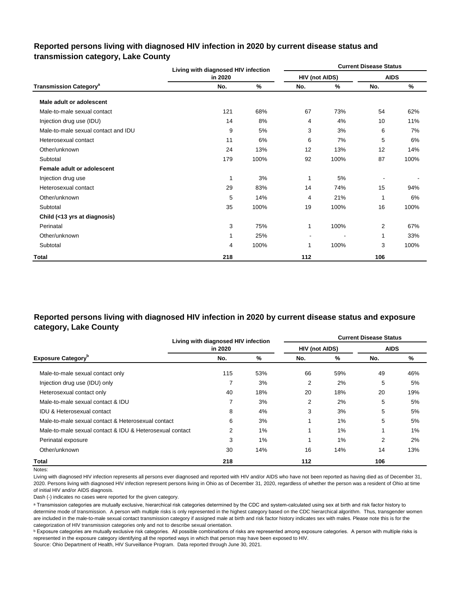|                                          | Living with diagnosed HIV infection |      |                       |      | <b>Current Disease Status</b> |      |
|------------------------------------------|-------------------------------------|------|-----------------------|------|-------------------------------|------|
|                                          | in 2020                             |      | <b>HIV (not AIDS)</b> |      | <b>AIDS</b>                   |      |
| <b>Transmission Category<sup>a</sup></b> | No.                                 | %    | No.                   | %    | No.                           | %    |
| Male adult or adolescent                 |                                     |      |                       |      |                               |      |
| Male-to-male sexual contact              | 121                                 | 68%  | 67                    | 73%  | 54                            | 62%  |
| Injection drug use (IDU)                 | 14                                  | 8%   | 4                     | 4%   | 10                            | 11%  |
| Male-to-male sexual contact and IDU      | 9                                   | 5%   | 3                     | 3%   | 6                             | 7%   |
| Heterosexual contact                     | 11                                  | 6%   | 6                     | 7%   | 5                             | 6%   |
| Other/unknown                            | 24                                  | 13%  | 12                    | 13%  | 12                            | 14%  |
| Subtotal                                 | 179                                 | 100% | 92                    | 100% | 87                            | 100% |
| Female adult or adolescent               |                                     |      |                       |      |                               |      |
| Injection drug use                       | 1                                   | 3%   | 1                     | 5%   |                               |      |
| Heterosexual contact                     | 29                                  | 83%  | 14                    | 74%  | 15                            | 94%  |
| Other/unknown                            | 5                                   | 14%  | 4                     | 21%  | 1                             | 6%   |
| Subtotal                                 | 35                                  | 100% | 19                    | 100% | 16                            | 100% |
| Child (<13 yrs at diagnosis)             |                                     |      |                       |      |                               |      |
| Perinatal                                | 3                                   | 75%  | 1                     | 100% | 2                             | 67%  |
| Other/unknown                            | 1                                   | 25%  | ٠                     |      | 1                             | 33%  |
| Subtotal                                 | 4                                   | 100% | 1                     | 100% | 3                             | 100% |
| Total                                    | 218                                 |      | 112                   |      | 106                           |      |

## **Reported persons living with diagnosed HIV infection in 2020 by current disease status and transmission category, Lake County**

## **Reported persons living with diagnosed HIV infection in 2020 by current disease status and exposure category, Lake County**

|                                                          | Living with diagnosed HIV infection |     | <b>Current Disease Status</b> |       |             |       |  |  |  |  |  |
|----------------------------------------------------------|-------------------------------------|-----|-------------------------------|-------|-------------|-------|--|--|--|--|--|
|                                                          | in 2020                             |     | <b>HIV (not AIDS)</b>         |       | <b>AIDS</b> |       |  |  |  |  |  |
| <b>Exposure Category</b> <sup>P</sup>                    | No.                                 | %   | No.                           | %     | No.         | %     |  |  |  |  |  |
| Male-to-male sexual contact only                         | 115                                 | 53% | 66                            | 59%   | 49          | 46%   |  |  |  |  |  |
| Injection drug use (IDU) only                            | 7                                   | 3%  | 2                             | 2%    | 5           | 5%    |  |  |  |  |  |
| Heterosexual contact only                                | 40                                  | 18% | 20                            | 18%   | 20          | 19%   |  |  |  |  |  |
| Male-to-male sexual contact & IDU                        | 7                                   | 3%  | 2                             | 2%    | 5           | 5%    |  |  |  |  |  |
| <b>IDU &amp; Heterosexual contact</b>                    | 8                                   | 4%  | 3                             | 3%    | 5           | 5%    |  |  |  |  |  |
| Male-to-male sexual contact & Heterosexual contact       | 6                                   | 3%  |                               | $1\%$ | 5           | 5%    |  |  |  |  |  |
| Male-to-male sexual contact & IDU & Heterosexual contact | 2                                   | 1%  |                               | 1%    |             | $1\%$ |  |  |  |  |  |
| Perinatal exposure                                       | 3                                   | 1%  |                               | 1%    | 2           | 2%    |  |  |  |  |  |
| Other/unknown                                            | 30                                  | 14% | 16                            | 14%   | 14          | 13%   |  |  |  |  |  |
| Total                                                    | 218                                 |     | 112                           |       | 106         |       |  |  |  |  |  |

#### Notes:

Living with diagnosed HIV infection represents all persons ever diagnosed and reported with HIV and/or AIDS who have not been reported as having died as of December 31, 2020. Persons living with diagnosed HIV infection represent persons living in Ohio as of December 31, 2020, regardless of whether the person was a resident of Ohio at time of initial HIV and/or AIDS diagnosis.

Dash (-) indicates no cases were reported for the given category.

a Transmission categories are mutually exclusive, hierarchical risk categories determined by the CDC and system-calculated using sex at birth and risk factor history to determine mode of transmission. A person with multiple risks is only represented in the highest category based on the CDC hierarchical algorithm. Thus, transgender women are included in the male-to-male sexual contact transmission category if assigned male at birth and risk factor history indicates sex with males. Please note this is for the categorization of HIV transmission categories only and not to describe sexual orientation.

**b** Exposure categories are mutually exclusive risk categories. All possible combinations of risks are represented among exposure categories. A person with multiple risks is represented in the exposure category identifying all the reported ways in which that person may have been exposed to HIV.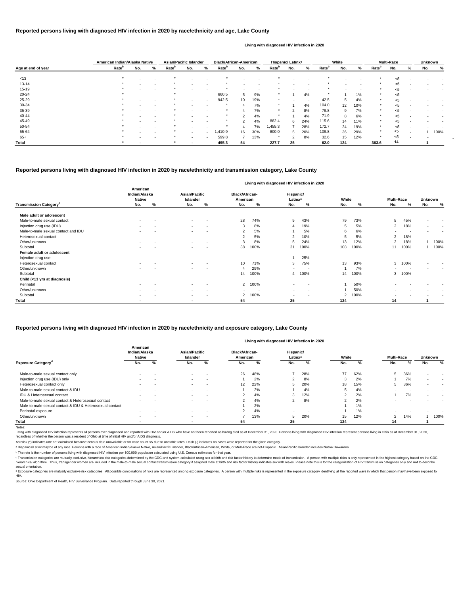-

<sup>c</sup> Transmission categories are mutually exclusive, hierarchical risk categories determined by the CDC and system-calculated using sex at birth and risk factor history to determine mode of transmission. A person with multi hierarchical algorithm. Thus, transgender women are included in the male-to-male sexual contact transmission category if assigned male at birth and risk factor history indicates sex with males. Please note this is for the sexual orientation.

<sup>d</sup> Exposure categories are mutually exclusive risk categories. All possible combinations of risks are represented among exposure categories. A person with multiple risks is represented in the exposure category identifying HIV.

Notes:

gnosed HIV infection represents all persons ever diagnosed and reported with HIV and/or AIDS who have not been reported as having died as of December 31, 2020. Persons living with diagnosed HIV infection represent persons

Source: Ohio Department of Health, HIV Surveillance Program. Data reported through June 30, 2021.

|                    |                   | American Indian/Alaska Native |                          | <b>Asian/Pacific Islander</b> |                          |        | <b>Black/African-American</b> |                          |     | Hispanic/ Latinx <sup>a</sup> |                          |     | White             |     |       | <b>Multi-Race</b> |     |   | Unknown |      |
|--------------------|-------------------|-------------------------------|--------------------------|-------------------------------|--------------------------|--------|-------------------------------|--------------------------|-----|-------------------------------|--------------------------|-----|-------------------|-----|-------|-------------------|-----|---|---------|------|
| Age at end of year | Rate <sup>b</sup> | No.                           | %                        | Rate <sup>b</sup>             | No.                      | %      | <b>Rate</b> <sup>b</sup>      | No.                      | %   | Rate <sup>b</sup>             | No.                      | %   | Rate <sup>b</sup> | No. | %     | Rate <sup>p</sup> | No. | % | No.     | %    |
| < 13               | $\star$           |                               | $\overline{\phantom{a}}$ |                               |                          |        |                               |                          |     |                               |                          |     |                   |     |       |                   | $5$ |   |         |      |
| $13 - 14$          |                   |                               |                          |                               |                          |        |                               |                          |     |                               |                          |     |                   |     |       |                   | $5$ |   |         |      |
| $15 - 19$          |                   |                               |                          |                               | $\overline{\phantom{a}}$ |        |                               | $\overline{\phantom{a}}$ |     |                               | $\overline{\phantom{0}}$ |     |                   | -   |       |                   | $5$ |   |         |      |
| $20 - 24$          |                   |                               |                          |                               | $\sim$                   | $\sim$ | 660.5                         | 5                        | 9%  |                               |                          | 4%  |                   |     | $1\%$ |                   | $5$ |   |         |      |
| 25-29              |                   |                               | $\overline{\phantom{a}}$ | $\star$                       | $\sim$                   | $\sim$ | 942.5                         | 10                       | 19% | $\star$                       | $\sim$                   |     | 42.5              | 5   | 4%    | $\star$           | < 5 |   |         |      |
| 30-34              |                   |                               |                          |                               |                          |        |                               |                          | 7%  |                               |                          | 4%  | 104.0             | 12  | 10%   |                   | $5$ |   |         |      |
| 35-39              |                   |                               |                          |                               |                          |        | $\ast$                        | 4                        | 7%  |                               |                          | 8%  | 79.8              | 9   | 7%    |                   | $5$ |   |         |      |
| 40-44              |                   |                               |                          |                               |                          |        |                               | 2                        | 4%  |                               |                          | 4%  | 71.9              | 8   | 6%    |                   | $5$ |   |         |      |
| 45-49              |                   |                               |                          | *                             |                          |        | $\star$                       | 2                        | 4%  | 882.4                         | 6                        | 24% | 115.6             | 14  | 11%   | $\star$           | < 5 |   |         |      |
| 50-54              |                   |                               |                          |                               |                          |        |                               |                          | 7%  | 455.3                         |                          | 28% | 172.7             | 24  | 19%   |                   | $5$ |   |         |      |
| 55-64              |                   |                               |                          |                               | $\sim$                   | $\sim$ | 1,410.9                       | 16                       | 30% | 800.0                         | 5                        | 20% | 109.8             | 36  | 29%   |                   | <5  |   |         | 100% |
| $65+$              |                   |                               |                          |                               | $\sim$                   | $\sim$ | 599.8                         | -                        | 13% |                               | ົ                        | 8%  | 32.6              | 15  | 12%   |                   | $5$ |   |         |      |
| <b>Total</b>       |                   |                               |                          |                               | $\overline{\phantom{a}}$ |        | 495.3                         | 54                       |     | 227.7                         | 25                       |     | 62.0              | 124 |       | 363.6             | 14  |   |         |      |

|                                          | American                 | Indian/Alaska<br><b>Native</b> |                          | <b>Asian/Pacific</b><br><b>Islander</b> |              | <b>Black/African-</b><br>American |                          | Hispanic/<br>Latinx <sup>a</sup> |        | White                    |                          | <b>Multi-Race</b> |                | <b>Unknown</b>           |
|------------------------------------------|--------------------------|--------------------------------|--------------------------|-----------------------------------------|--------------|-----------------------------------|--------------------------|----------------------------------|--------|--------------------------|--------------------------|-------------------|----------------|--------------------------|
| <b>Transmission Category<sup>c</sup></b> | No.                      | %                              | No.                      | %                                       | No.          | %                                 | No.                      | %                                | No.    | %                        | No.                      | %                 | No.            | %                        |
| Male adult or adolescent                 |                          |                                |                          |                                         |              |                                   |                          |                                  |        |                          |                          |                   |                |                          |
| Male-to-male sexual contact              | $\overline{\phantom{a}}$ |                                | $\sim$                   |                                         | 28           | 74%                               | 9                        | 43%                              | 79     | 73%                      | 5                        | 45%               | $\sim$         | $\blacksquare$           |
| Injection drug use (IDU)                 | $\overline{\phantom{a}}$ | $\sim$                         | $\sim$                   | $\sim$                                  | 3            | 8%                                | 4                        | 19%                              | 5      | 5%                       | 2                        | 18%               | $\sim$         | $\overline{\phantom{0}}$ |
| Male-to-male sexual contact and IDU      | $\overline{\phantom{a}}$ | $\overline{\phantom{a}}$       | $\sim$                   | $\sim$                                  | 2            | 5%                                |                          | 5%                               | 6      | 6%                       | $\sim$                   | $\sim$            | $\sim$         | $\overline{\phantom{a}}$ |
| Heterosexual contact                     | $\overline{\phantom{a}}$ |                                | $\sim$                   | $\sim$                                  | 2            | 5%                                | 2                        | 10%                              | 5      | 5%                       | 2                        | 18%               | $\sim$         |                          |
| Other/unknown                            | $\overline{\phantom{a}}$ |                                | $\sim$                   |                                         | 3            | 8%                                | 5                        | 24%                              | 13     | 12%                      | $\overline{2}$           | 18%               |                | 100%                     |
| Subtotal                                 | $\overline{\phantom{a}}$ |                                | $\sim$                   | <b>.</b>                                | 38           | 100%                              | 21                       | 100%                             | 108    | 100%                     | 11                       | 100%              |                | 100%                     |
| Female adult or adolescent               |                          |                                |                          |                                         |              |                                   |                          |                                  |        |                          |                          |                   |                |                          |
| Injection drug use                       | $\overline{\phantom{a}}$ |                                | $\sim$                   |                                         |              | $\overline{\phantom{a}}$          |                          | 25%                              | $\sim$ | $\overline{\phantom{a}}$ |                          |                   |                | $\overline{\phantom{0}}$ |
| Heterosexual contact                     | $\overline{\phantom{a}}$ | $\overline{\phantom{a}}$       | $\sim$                   | $\sim$                                  | 10           | 71%                               | 3                        | 75%                              | 13     | 93%                      | 3                        | 100%              | $\sim$         | $\blacksquare$           |
| Other/unknown                            | $\overline{\phantom{a}}$ |                                | $\sim$                   | $\sim$                                  | 4            | 29%                               | $\overline{\phantom{a}}$ |                                  |        | 7%                       | $\,$ $\,$                |                   | $\blacksquare$ | $\blacksquare$           |
| Subtotal                                 | $\blacksquare$           |                                | $\sim$                   | $\sim$                                  | 14           | 100%                              | 4                        | 100%                             | 14     | 100%                     | 3                        | 100%              | $\blacksquare$ | $\blacksquare$           |
| Child (<13 yrs at diagnosis)             |                          |                                |                          |                                         |              |                                   |                          |                                  |        |                          |                          |                   |                |                          |
| Perinatal                                | $\overline{\phantom{a}}$ |                                | $\sim$                   | $\sim$                                  |              | 2 100%                            | $\overline{\phantom{a}}$ |                                  |        | 50%                      |                          |                   |                |                          |
| Other/unknown                            | $\overline{\phantom{a}}$ | $\sim$                         | $\sim$                   | $\sim$                                  | $\sim$       | $\overline{\phantom{a}}$          | $\overline{\phantom{a}}$ | $\sim$                           |        | 50%                      |                          |                   |                |                          |
| Subtotal                                 | $\overline{\phantom{a}}$ |                                | $\sim$                   | $\sim$                                  | $\mathbf{2}$ | 100%                              | $\sim$                   | $\sim$                           | 2      | 100%                     | $\overline{\phantom{a}}$ |                   |                |                          |
| <b>Total</b>                             | $\blacksquare$           |                                | $\overline{\phantom{0}}$ |                                         | 54           |                                   | 25                       |                                  | 124    |                          | 14                       |                   |                |                          |

|                                                          | American<br>Indian/Alaska<br><b>Native</b> |     |           | <b>Asian/Pacific</b><br>Islander |                   | <b>Black/African-</b><br>American |                          | Hispanic/<br>Latinx <sup>a</sup> |        | White | <b>Multi-Race</b> |     | <b>Unknown</b> |                          |
|----------------------------------------------------------|--------------------------------------------|-----|-----------|----------------------------------|-------------------|-----------------------------------|--------------------------|----------------------------------|--------|-------|-------------------|-----|----------------|--------------------------|
| <b>Exposure Category<sup>d</sup></b>                     | No.                                        | %   | No.       | %                                | No.               | %                                 | No.                      |                                  | No.    | ℅     | No.               | %   | No.            | %                        |
| Male-to-male sexual contact only                         |                                            | -   | $\,$ $\,$ | ۰.                               | 26                | 48%                               |                          | 28%                              | 77     | 62%   | 5                 | 36% |                |                          |
| Injection drug use (IDU) only                            |                                            | . . | $\sim$    |                                  |                   | 2%                                |                          | 8%                               | ົ<br>د | 2%    |                   | 7%  |                |                          |
| Heterosexual contact only                                | $\overline{\phantom{0}}$                   | -   | $\sim$    | $\sim$                           | $12 \overline{ }$ | 22%                               |                          | 20%                              | 18     | 15%   |                   | 36% |                | $\overline{\phantom{a}}$ |
| Male-to-male sexual contact & IDU                        | -                                          | -   | $\sim$    | $\sim$                           |                   | 2%                                |                          | 4%                               | 5      | 4%    |                   |     |                |                          |
| IDU & Heterosexual contact                               | $\overline{\phantom{0}}$                   | -   | $\sim$    | . .                              |                   | 4%                                | 3                        | 12%                              | ົ      | 2%    |                   | 7%  |                |                          |
| Male-to-male sexual contact & Heterosexual contact       |                                            | -   | $\sim$    |                                  |                   | 4%                                | ∠                        | 8%                               | ົ      | 2%    |                   |     |                |                          |
| Male-to-male sexual contact & IDU & Heterosexual contact | $\overline{\phantom{0}}$                   | -   | $\sim$    | $\sim$                           |                   | 2%                                | $\sim$                   | . .                              |        | 1%    |                   |     |                |                          |
| Perinatal exposure                                       | $\overline{\phantom{0}}$                   | -   | $\sim$    | $\sim$                           |                   | 4%                                | $\overline{\phantom{a}}$ | . .                              |        | 1%    |                   |     |                |                          |
| Other/unknown                                            | $\sim$                                     | . . | $\sim$    |                                  |                   | 13%                               |                          | 20%                              | 15     | 12%   | 2                 | 14% |                | 100%                     |
| <b>Total</b>                                             |                                            |     |           |                                  | 54                |                                   | 25                       |                                  | 124    |       | 14                |     |                |                          |

regardless of whether the person was a resident of Ohio at time of initial HIV and/or AIDS diagnosis.

Asterisk (\*) indicates rate not calculated because census data unavailable or for case count <5 due to unstable rates. Dash (-) indicates no cases were reported for the given category.

a Hispanics/Latinx may be of any race. Persons with a race of American Indian/Alaska Native, Asian/Pacific Islander, Black/African-American, White, or Multi-Race are not-Hispanic. Asian/Pacific Islander includes Native Haw

<sup>b</sup> The rate is the number of persons living with diagnosed HIV infection per 100,000 population calculated using U.S. Census estimates for that year.

#### **Reported persons living with diagnosed HIV infection in 2020 by race/ethnicity and exposure category, Lake County**

#### **Living with diagnosed HIV infection in 2020**

**Reported persons living with diagnosed HIV infection in 2020 by race/ethnicity and transmission category, Lake County**

#### **Living with diagnosed HIV infection in 2020**

#### **Reported persons living with diagnosed HIV infection in 2020 by race/ethnicity and age, Lake County**

#### **Living with diagnosed HIV infection in 2020**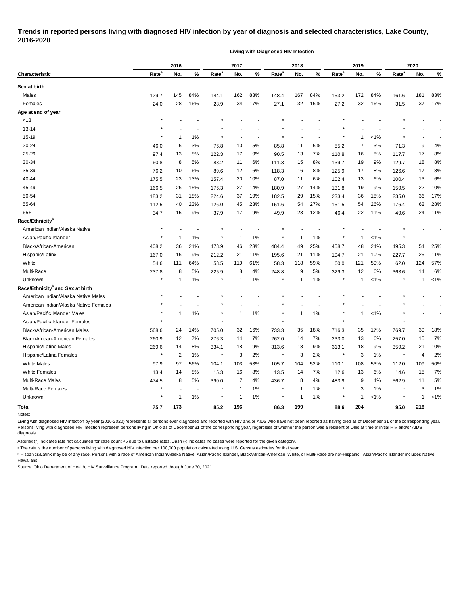## **Trends in reported persons living with diagnosed HIV infection by year of diagnosis and selected characteristics, Lake County, 2016-2020**

**Living with Diagnosed HIV Infection**

|                                                         |                   | 2016                    |                          |                   | 2017         |       |                   | 2018         |       |                   | 2019         |         | 2020              |              |           |
|---------------------------------------------------------|-------------------|-------------------------|--------------------------|-------------------|--------------|-------|-------------------|--------------|-------|-------------------|--------------|---------|-------------------|--------------|-----------|
| Characteristic                                          | Rate <sup>a</sup> | No.                     | %                        | Rate <sup>a</sup> | No.          | %     | Rate <sup>a</sup> | No.          | $\%$  | Rate <sup>a</sup> | No.          | %       | Rate <sup>a</sup> | No.          | %         |
| Sex at birth                                            |                   |                         |                          |                   |              |       |                   |              |       |                   |              |         |                   |              |           |
| Males                                                   | 129.7             | 145                     | 84%                      | 144.1             | 162          | 83%   | 148.4             | 167          | 84%   | 153.2             | 172          | 84%     | 161.6             | 181          | 83%       |
| Females                                                 | 24.0              | 28                      | 16%                      | 28.9              | 34           | 17%   | 27.1              | 32           | 16%   | 27.2              | 32           | 16%     | 31.5              | 37           | 17%       |
| Age at end of year                                      |                   |                         |                          |                   |              |       |                   |              |       |                   |              |         |                   |              |           |
| < 13                                                    |                   |                         |                          |                   |              |       |                   |              |       |                   |              |         |                   |              |           |
| 13-14                                                   |                   |                         |                          |                   |              |       |                   |              |       |                   |              |         |                   |              |           |
| 15-19                                                   |                   | 1                       | 1%                       |                   |              |       |                   |              |       |                   | 1            | $< 1\%$ |                   |              |           |
| 20-24                                                   | 46.0              | 6                       | 3%                       | 76.8              | 10           | 5%    | 85.8              | 11           | 6%    | 55.2              | 7            | 3%      | 71.3              | 9            | 4%        |
| 25-29                                                   | 97.4              | 13                      | 8%                       | 122.3             | 17           | 9%    | 90.5              | 13           | 7%    | 110.8             | 16           | 8%      | 117.7             | 17           | 8%        |
| 30-34                                                   | 60.8              | 8                       | 5%                       | 83.2              | 11           | 6%    | 111.3             | 15           | 8%    | 139.7             | 19           | 9%      | 129.7             | 18           | 8%        |
| 35-39                                                   | 76.2              | 10                      | 6%                       | 89.6              | 12           | 6%    | 118.3             | 16           | 8%    | 125.9             | 17           | 8%      | 126.6             | 17           | 8%        |
| 40-44                                                   | 175.5             | 23                      | 13%                      | 157.4             | 20           | 10%   | 87.0              | 11           | 6%    | 102.4             | 13           | 6%      | 100.4             | 13           | 6%        |
| 45-49                                                   | 166.5             | 26                      | 15%                      | 176.3             | 27           | 14%   | 180.9             | 27           | 14%   | 131.8             | 19           | 9%      | 159.5             | 22           | 10%       |
| 50-54                                                   | 183.2             | 31                      | 18%                      | 224.6             | 37           | 19%   | 182.5             | 29           | 15%   | 233.4             | 36           | 18%     | 235.0             | 36           | 17%       |
| 55-64                                                   | 112.5             | 40                      | 23%                      | 126.0             | 45           | 23%   | 151.6             | 54           | 27%   | 151.5             | 54           | 26%     | 176.4             | 62           | 28%       |
| $65+$                                                   | 34.7              | 15                      | 9%                       | 37.9              | 17           | 9%    | 49.9              | 23           | 12%   | 46.4              | 22           | 11%     | 49.6              | 24           | 11%       |
| Race/Ethnicity <sup>b</sup>                             |                   |                         |                          |                   |              |       |                   |              |       |                   |              |         |                   |              |           |
| American Indian/Alaska Native                           |                   |                         |                          |                   |              |       |                   |              |       |                   |              |         |                   |              |           |
| Asian/Pacific Islander                                  |                   | $\mathbf 1$             | 1%                       |                   | 1            | 1%    | $^{\star}$        |              | 1%    |                   | 1            | $1\%$   |                   |              |           |
| Black/African-American                                  | 408.2             | 36                      | 21%                      | 478.9             | 46           | 23%   | 484.4             | 49           | 25%   | 458.7             | 48           | 24%     | 495.3             | 54           | 25%       |
| Hispanic/Latinx                                         | 167.0             | 16                      | 9%                       | 212.2             | 21           | 11%   | 195.6             | 21           | 11%   | 194.7             | 21           | 10%     | 227.7             | 25           | 11%       |
| White                                                   | 54.6              | 111                     | 64%                      | 58.5              | 119          | 61%   | 58.3              | 118          | 59%   | 60.0              | 121          | 59%     | 62.0              | 124          | 57%       |
| Multi-Race                                              | 237.8             | 8                       | 5%                       | 225.9             | 8            | 4%    | 248.8             | 9            | 5%    | 329.3             | 12           | 6%      | 363.6             | 14           | 6%        |
| Unknown                                                 |                   | 1                       | 1%                       | ×                 | 1            | 1%    | $\star$           | 1            | $1\%$ |                   | 1            | $< 1\%$ | $\star$           | 1            | $< 1\%$   |
| Race/Ethnicity <sup>b</sup> and Sex at birth            |                   |                         |                          |                   |              |       |                   |              |       |                   |              |         |                   |              |           |
| American Indian/Alaska Native Males                     |                   |                         |                          |                   |              |       |                   |              |       |                   |              |         |                   |              |           |
| American Indian/Alaska Native Females                   |                   |                         |                          |                   |              |       |                   |              |       |                   |              |         |                   |              |           |
| Asian/Pacific Islander Males                            |                   | -1                      | 1%                       |                   | 1            | 1%    | $\star$           |              | 1%    |                   | 1            | $< 1\%$ |                   |              |           |
| Asian/Pacific Islander Females                          |                   |                         |                          |                   |              |       |                   |              |       |                   |              |         |                   |              |           |
|                                                         |                   | 24                      | 14%                      |                   | 32           | 16%   |                   | 35           | 18%   |                   | 35           | 17%     |                   | 39           | 18%       |
| Black/African-American Males                            | 568.6             | 12                      | 7%                       | 705.0             |              | 7%    | 733.3             | 14           | 7%    | 716.3             | 13           | 6%      | 769.7             | 15           | 7%        |
| Black/African-American Females<br>Hispanic/Latino Males | 260.9             |                         | 8%                       | 276.3             | 14           | 9%    | 262.0             | 18           | 9%    | 233.0             |              | 9%      | 257.0             | 21           |           |
| Hispanic/Latina Females                                 | 269.6<br>$\star$  | 14                      |                          | 334.1<br>$\star$  | 18<br>3      | $2\%$ | 313.6<br>$\star$  | 3            | 2%    | 313.1<br>$\star$  | 18           |         | 359.2<br>$\star$  | 4            | 10%<br>2% |
|                                                         |                   | $\overline{\mathbf{c}}$ | 1%                       |                   |              |       |                   |              |       |                   | 3            | 1%      |                   |              |           |
| <b>White Males</b>                                      | 97.9              | 97                      | 56%                      | 104.1             | 103          | 53%   | 105.7             | 104          | 52%   | 110.1             | 108          | 53%     | 112.0             | 109          | 50%       |
| <b>White Females</b><br>Multi-Race Males                | 13.4              | 14                      | 8%                       | 15.3              | 16           | 8%    | 13.5              | 14           | 7%    | 12.6              | 13           | 6%      | 14.6              | 15           | 7%        |
|                                                         | 474.5             | 8                       | 5%                       | 390.0             | 7            | 4%    | 436.7<br>$\star$  | 8            | 4%    | 483.9<br>$\star$  | 9            | 4%      | 562.9             | 11           | 5%        |
| Multi-Race Females                                      |                   |                         | $\overline{\phantom{a}}$ |                   | $\mathbf{1}$ | $1\%$ |                   | 1            | $1\%$ |                   | 3            | 1%      |                   | 3            | 1%        |
| Unknown                                                 |                   | $\mathbf{1}$            | 1%                       |                   | 1            | $1\%$ | $\ast$            | $\mathbf{1}$ | 1%    |                   | $\mathbf{1}$ | $< 1\%$ |                   | $\mathbf{1}$ | 1%        |
| Total                                                   | 75.7              | 173                     |                          | 85.2              | 196          |       | 86.3              | 199          |       | 88.6              | 204          |         | 95.0              | 218          |           |

Notes:

Living with diagnosed HIV infection by year (2016-2020) represents all persons ever diagnosed and reported with HIV and/or AIDS who have not been reported as having died as of December 31 of the corresponding year. Persons living with diagnosed HIV infection represent persons living in Ohio as of December 31 of the corresponding year, regardless of whether the person was a resident of Ohio at time of initial HIV and/or AIDS diagnosis.

Asterisk (\*) indicates rate not calculated for case count <5 due to unstable rates. Dash (-) indicates no cases were reported for the given category.

a The rate is the number of persons living with diagnosed HIV infection per 100,000 population calculated using U.S. Census estimates for that year.

<sup>b</sup> Hispanics/Latinx may be of any race. Persons with a race of American Indian/Alaska Native, Asian/Pacific Islander, Black/African-American, White, or Multi-Race are not-Hispanic. Asian/Pacific Islander includes Native Hawaiians.